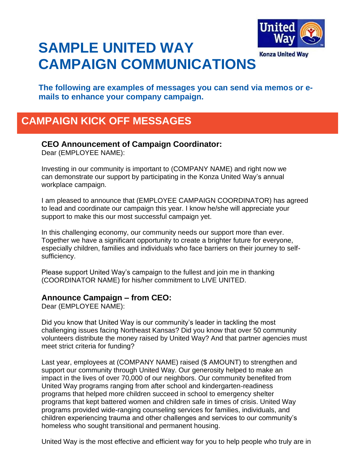

# **SAMPLE UNITED WAY CAMPAIGN COMMUNICATIONS**

**The following are examples of messages you can send via memos or emails to enhance your company campaign.**

# **CAMPAIGN KICK OFF MESSAGES**

### **CEO Announcement of Campaign Coordinator:**

Dear (EMPLOYEE NAME):

Investing in our community is important to (COMPANY NAME) and right now we can demonstrate our support by participating in the Konza United Way's annual workplace campaign.

I am pleased to announce that (EMPLOYEE CAMPAIGN COORDINATOR) has agreed to lead and coordinate our campaign this year. I know he/she will appreciate your support to make this our most successful campaign yet.

In this challenging economy, our community needs our support more than ever. Together we have a significant opportunity to create a brighter future for everyone, especially children, families and individuals who face barriers on their journey to selfsufficiency.

Please support United Way's campaign to the fullest and join me in thanking (COORDINATOR NAME) for his/her commitment to LIVE UNITED.

#### **Announce Campaign – from CEO:**

Dear (EMPLOYEE NAME):

Did you know that United Way is our community's leader in tackling the most challenging issues facing Northeast Kansas? Did you know that over 50 community volunteers distribute the money raised by United Way? And that partner agencies must meet strict criteria for funding?

Last year, employees at (COMPANY NAME) raised (\$ AMOUNT) to strengthen and support our community through United Way. Our generosity helped to make an impact in the lives of over 70,000 of our neighbors. Our community benefited from United Way programs ranging from after school and kindergarten-readiness programs that helped more children succeed in school to emergency shelter programs that kept battered women and children safe in times of crisis. United Way programs provided wide-ranging counseling services for families, individuals, and children experiencing trauma and other challenges and services to our community's homeless who sought transitional and permanent housing.

United Way is the most effective and efficient way for you to help people who truly are in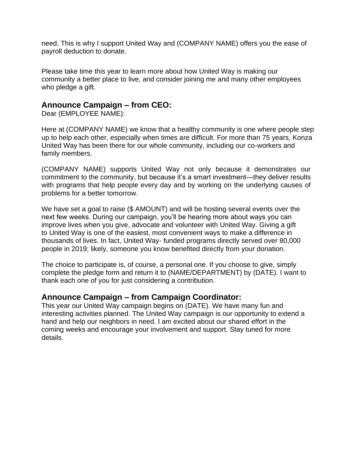need. This is why I support United Way and (COMPANY NAME) offers you the ease of payroll deduction to donate.

Please take time this year to learn more about how United Way is making our community a better place to live, and consider joining me and many other employees who pledge a gift.

#### **Announce Campaign – from CEO:**

Dear (EMPLOYEE NAME):

Here at (COMPANY NAME) we know that a healthy community is one where people step up to help each other, especially when times are difficult. For more than 75 years, Konza United Way has been there for our whole community, including our co-workers and family members.

(COMPANY NAME) supports United Way not only because it demonstrates our commitment to the community, but because it's a smart investment—they deliver results with programs that help people every day and by working on the underlying causes of problems for a better tomorrow.

We have set a goal to raise (\$ AMOUNT) and will be hosting several events over the next few weeks. During our campaign, you'll be hearing more about ways you can improve lives when you give, advocate and volunteer with United Way. Giving a gift to United Way is one of the easiest, most convenient ways to make a difference in thousands of lives. In fact, United Way- funded programs directly served over 80,000 people in 2019; likely, someone you know benefited directly from your donation.

The choice to participate is, of course, a personal one. If you choose to give, simply complete the pledge form and return it to (NAME/DEPARTMENT) by (DATE). I want to thank each one of you for just considering a contribution.

### **Announce Campaign – from Campaign Coordinator:**

This year our United Way campaign begins on (DATE). We have many fun and interesting activities planned. The United Way campaign is our opportunity to extend a hand and help our neighbors in need. I am excited about our shared effort in the coming weeks and encourage your involvement and support. Stay tuned for more details.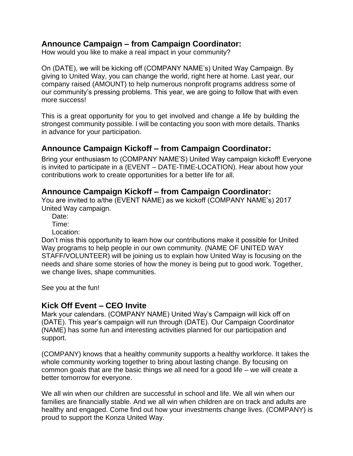# **Announce Campaign – from Campaign Coordinator:**

How would you like to make a real impact in your community?

On (DATE), we will be kicking off (COMPANY NAME's) United Way Campaign. By giving to United Way, you can change the world, right here at home. Last year, our company raised (AMOUNT) to help numerous nonprofit programs address some of our community's pressing problems. This year, we are going to follow that with even more success!

This is a great opportunity for you to get involved and change a life by building the strongest community possible. I will be contacting you soon with more details. Thanks in advance for your participation.

# **Announce Campaign Kickoff – from Campaign Coordinator:**

Bring your enthusiasm to (COMPANY NAME'S) United Way campaign kickoff! Everyone is invited to participate in a (EVENT – DATE-TIME-LOCATION). Hear about how your contributions work to create opportunities for a better life for all.

### **Announce Campaign Kickoff – from Campaign Coordinator:**

You are invited to a/the (EVENT NAME) as we kickoff (COMPANY NAME's) 2017 United Way campaign.

Date:

Time:

Location:

Don't miss this opportunity to learn how our contributions make it possible for United Way programs to help people in our own community. (NAME OF UNITED WAY STAFF/VOLUNTEER) will be joining us to explain how United Way is focusing on the needs and share some stories of how the money is being put to good work. Together, we change lives, shape communities.

See you at the fun!

#### **Kick Off Event – CEO Invite**

Mark your calendars. (COMPANY NAME) United Way's Campaign will kick off on (DATE). This year's campaign will run through (DATE). Our Campaign Coordinator (NAME) has some fun and interesting activities planned for our participation and support.

(COMPANY) knows that a healthy community supports a healthy workforce. It takes the whole community working together to bring about lasting change. By focusing on common goals that are the basic things we all need for a good life – we will create a better tomorrow for everyone.

We all win when our children are successful in school and life. We all win when our families are financially stable. And we all win when children are on track and adults are healthy and engaged. Come find out how your investments change lives. (COMPANY) is proud to support the Konza United Way.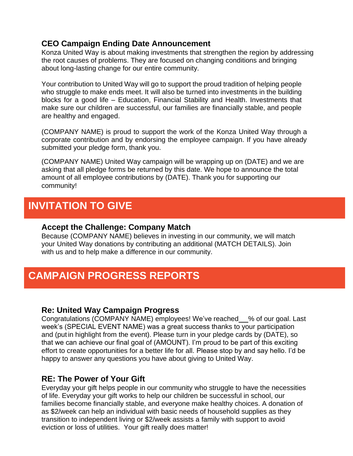### **CEO Campaign Ending Date Announcement**

Konza United Way is about making investments that strengthen the region by addressing the root causes of problems. They are focused on changing conditions and bringing about long-lasting change for our entire community.

Your contribution to United Way will go to support the proud tradition of helping people who struggle to make ends meet. It will also be turned into investments in the building blocks for a good life – Education, Financial Stability and Health. Investments that make sure our children are successful, our families are financially stable, and people are healthy and engaged.

(COMPANY NAME) is proud to support the work of the Konza United Way through a corporate contribution and by endorsing the employee campaign. If you have already submitted your pledge form, thank you.

(COMPANY NAME) United Way campaign will be wrapping up on (DATE) and we are asking that all pledge forms be returned by this date. We hope to announce the total amount of all employee contributions by (DATE). Thank you for supporting our community!

# **INVITATION TO GIVE**

#### **Accept the Challenge: Company Match**

Because (COMPANY NAME) believes in investing in our community, we will match your United Way donations by contributing an additional (MATCH DETAILS). Join with us and to help make a difference in our community.

# **CAMPAIGN PROGRESS REPORTS**

### **Re: United Way Campaign Progress**

Congratulations (COMPANY NAME) employees! We've reached % of our goal. Last week's (SPECIAL EVENT NAME) was a great success thanks to your participation and (put in highlight from the event). Please turn in your pledge cards by (DATE), so that we can achieve our final goal of (AMOUNT). I'm proud to be part of this exciting effort to create opportunities for a better life for all. Please stop by and say hello. I'd be happy to answer any questions you have about giving to United Way.

### **RE: The Power of Your Gift**

Everyday your gift helps people in our community who struggle to have the necessities of life. Everyday your gift works to help our children be successful in school, our families become financially stable, and everyone make healthy choices. A donation of as \$2/week can help an individual with basic needs of household supplies as they transition to independent living or \$2/week assists a family with support to avoid eviction or loss of utilities. Your gift really does matter!